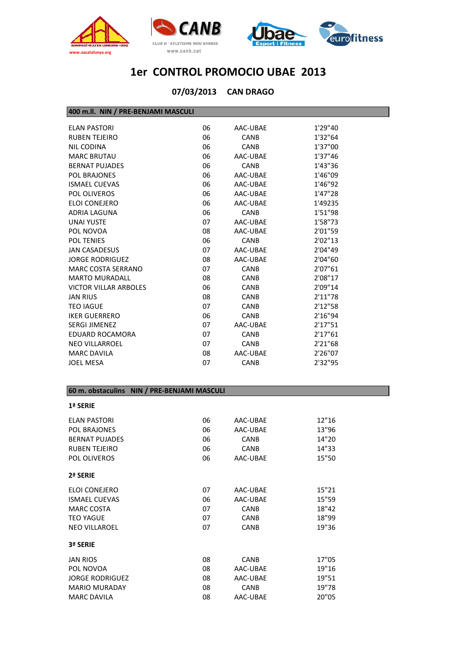





#### **CAN DRAGO 07/03/2013**

#### **400 m.ll. NIN / PRE‐BENJAMI MASCULI**

| <b>ELAN PASTORI</b>          | 06 | AAC-UBAE    | 1'29"40 |
|------------------------------|----|-------------|---------|
| <b>RUBEN TEJEIRO</b>         | 06 | <b>CANB</b> | 1'32"64 |
| NIL CODINA                   | 06 | <b>CANB</b> | 1'37"00 |
| <b>MARC BRUTAU</b>           | 06 | AAC-UBAE    | 1'37"46 |
| <b>BERNAT PUJADES</b>        | 06 | <b>CANB</b> | 1'43"36 |
| <b>POL BRAJONES</b>          | 06 | AAC-UBAE    | 1'46"09 |
| <b>ISMAEL CUEVAS</b>         | 06 | AAC-UBAE    | 1'46"92 |
| POL OLIVEROS                 | 06 | AAC-UBAE    | 1'47"28 |
| ELOI CONEJERO                | 06 | AAC-UBAE    | 1'49235 |
| <b>ADRIA LAGUNA</b>          | 06 | <b>CANB</b> | 1'51"98 |
| <b>UNAI YUSTE</b>            | 07 | AAC-UBAE    | 1'58"73 |
| POL NOVOA                    | 08 | AAC-UBAE    | 2'01"59 |
| <b>POL TENIES</b>            | 06 | <b>CANB</b> | 2'02"13 |
| <b>JAN CASADESUS</b>         | 07 | AAC-UBAE    | 2'04"49 |
| <b>JORGE RODRIGUEZ</b>       | 08 | AAC-UBAE    | 2'04"60 |
| MARC COSTA SERRANO           | 07 | <b>CANB</b> | 2'07"61 |
| <b>MARTO MURADALL</b>        | 08 | <b>CANB</b> | 2'08"17 |
| <b>VICTOR VILLAR ARBOLES</b> | 06 | <b>CANB</b> | 2'09"14 |
| <b>JAN RIUS</b>              | 08 | <b>CANB</b> | 2'11"78 |
| <b>TEO IAGUE</b>             | 07 | <b>CANB</b> | 2'12"58 |
| <b>IKER GUERRERO</b>         | 06 | <b>CANB</b> | 2'16"94 |
| <b>SERGI JIMENEZ</b>         | 07 | AAC-UBAE    | 2'17"51 |
| <b>EDUARD ROCAMORA</b>       | 07 | <b>CANB</b> | 2'17"61 |
| <b>NEO VILLARROEL</b>        | 07 | <b>CANB</b> | 2'21"68 |
| <b>MARC DAVILA</b>           | 08 | AAC-UBAE    | 2'26"07 |
| <b>JOEL MESA</b>             | 07 | <b>CANB</b> | 2'32"95 |
|                              |    |             |         |

#### **60 m. obstaculins NIN / PRE‐BENJAMI MASCULI**

| 1ª SERIE               |    |             |       |
|------------------------|----|-------------|-------|
| <b>FLAN PASTORI</b>    | 06 | AAC-UBAE    | 12"16 |
| <b>POL BRAJONES</b>    | 06 | AAC-UBAE    | 13"96 |
| <b>BERNAT PUJADES</b>  | 06 | <b>CANB</b> | 14"20 |
| <b>RUBEN TEJEIRO</b>   | 06 | <b>CANB</b> | 14"33 |
| <b>POL OLIVEROS</b>    | 06 | AAC-UBAE    | 15"50 |
| 2ª SERIE               |    |             |       |
| ELOI CONEJERO          | 07 | AAC-UBAE    | 15"21 |
| <b>ISMAEL CUEVAS</b>   | 06 | AAC-UBAE    | 15"59 |
| <b>MARC COSTA</b>      | 07 | <b>CANB</b> | 18"42 |
| <b>TEO YAGUE</b>       | 07 | <b>CANB</b> | 18"99 |
| <b>NEO VILLAROEL</b>   | 07 | <b>CANB</b> | 19"36 |
| 3ª SERIE               |    |             |       |
| <b>JAN RIOS</b>        | 08 | <b>CANB</b> | 17"05 |
| POL NOVOA              | 08 | AAC-UBAE    | 19"16 |
| <b>JORGE RODRIGUEZ</b> | 08 | AAC-UBAE    | 19"51 |
| <b>MARIO MURADAY</b>   | 08 | <b>CANB</b> | 19"78 |
| <b>MARC DAVILA</b>     | 08 | AAC-UBAE    | 20"05 |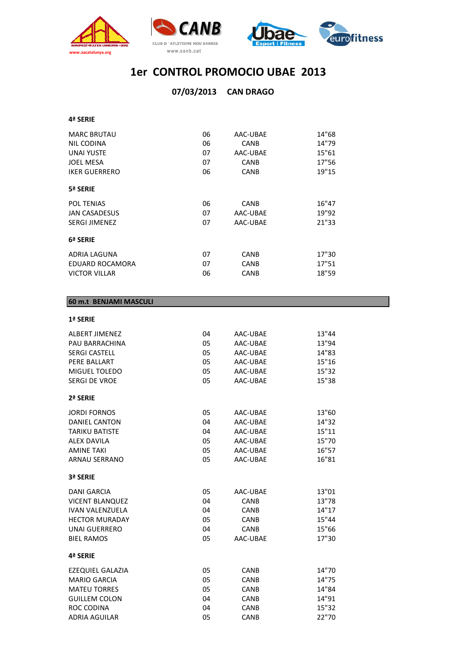



В

|                      |    | 07/03/2013 CAN DRAGO |       |
|----------------------|----|----------------------|-------|
|                      |    |                      |       |
| 4ª SERIE             |    |                      |       |
| <b>MARC BRUTAU</b>   | 06 | AAC-UBAE             | 14"68 |
| NIL CODINA           | 06 | <b>CANB</b>          | 14"79 |
| <b>UNAI YUSTE</b>    | 07 | AAC-UBAE             | 15"61 |
| <b>JOEL MESA</b>     | 07 | CANB                 | 17"56 |
| <b>IKER GUERRERO</b> | 06 | <b>CANB</b>          | 19"15 |
| 5ª SERIE             |    |                      |       |
| <b>POL TENIAS</b>    | 06 | <b>CANB</b>          | 16"47 |
| <b>JAN CASADESUS</b> | 07 | AAC-UBAE             | 19"92 |
| <b>SERGI JIMENEZ</b> | 07 | AAC-UBAE             | 21"33 |
| 6ª SERIE             |    |                      |       |
| ADRIA LAGUNA         | 07 | <b>CANB</b>          | 17"30 |
| EDUARD ROCAMORA      | 07 | <b>CANB</b>          | 17"51 |
| <b>VICTOR VILLAR</b> | 06 | <b>CANB</b>          | 18"59 |

#### **60 m.t BENJAMI MASCULI**

**1ª SERIE**

| <b>ALBERT JIMENEZ</b>  | 04 | AAC-UBAE    | 13"44 |
|------------------------|----|-------------|-------|
| PAU BARRACHINA         | 05 | AAC-UBAE    | 13"94 |
| <b>SERGI CASTELL</b>   | 05 | AAC-UBAE    | 14"83 |
| PERE BALLART           | 05 | AAC-UBAE    | 15"16 |
| MIGUEL TOLEDO          | 05 | AAC-UBAE    | 15"32 |
| <b>SERGI DE VROE</b>   | 05 | AAC-UBAE    | 15"38 |
| 2ª SERIE               |    |             |       |
| <b>JORDI FORNOS</b>    | 05 | AAC-UBAE    | 13"60 |
| <b>DANIEL CANTON</b>   | 04 | AAC-UBAE    | 14"32 |
| <b>TARIKU BATISTE</b>  | 04 | AAC-UBAE    | 15"11 |
| <b>ALEX DAVILA</b>     | 05 | AAC-UBAE    | 15"70 |
| <b>AMINE TAKI</b>      | 05 | AAC-UBAE    | 16"57 |
| <b>ARNAU SERRANO</b>   | 05 | AAC-UBAE    | 16"81 |
| 3ª SERIE               |    |             |       |
| <b>DANI GARCIA</b>     | 05 | AAC-UBAE    | 13"01 |
| <b>VICENT BLANQUEZ</b> | 04 | CANB        | 13"78 |
| <b>IVAN VALENZUELA</b> | 04 | CANB        | 14"17 |
| <b>HECTOR MURADAY</b>  | 05 | <b>CANB</b> | 15"44 |
| <b>UNAI GUERRERO</b>   | 04 | CANB        | 15"66 |
| <b>BIEL RAMOS</b>      | 05 | AAC-UBAE    | 17"30 |
| 4ª SERIE               |    |             |       |
| EZEQUIEL GALAZIA       | 05 | <b>CANB</b> | 14"70 |
| <b>MARIO GARCIA</b>    | 05 | <b>CANB</b> | 14"75 |
| <b>MATEU TORRES</b>    | 05 | CANB        | 14"84 |
| <b>GUILLEM COLON</b>   | 04 | CANB        | 14"91 |
| <b>ROC CODINA</b>      | 04 | CANB        | 15"32 |

ADRIA AGUILAR 05 CANB 22"70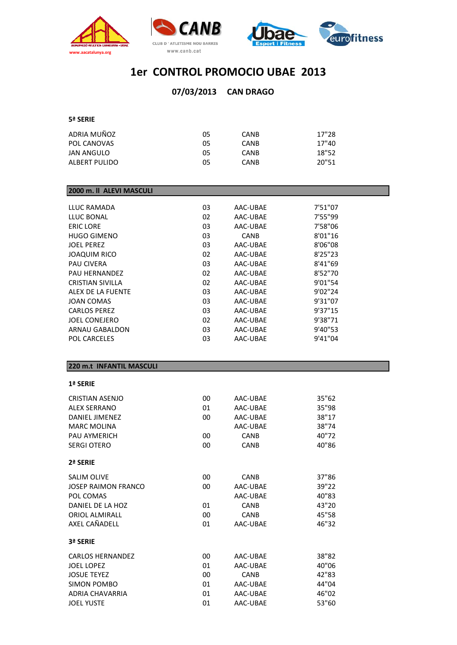





#### **CAN DRAGO 07/03/2013**

#### **5ª SERIE**

| ADRIA MUÑOZ   | 05 | <b>CANB</b> | 17"28 |
|---------------|----|-------------|-------|
| POL CANOVAS   | 05 | <b>CANB</b> | 17"40 |
| JAN ANGULO    | 05 | <b>CANB</b> | 18"52 |
| ALBERT PULIDO | 05 | <b>CANB</b> | 20"51 |
|               |    |             |       |

#### **2000 m. ll ALEVI MASCULI**

| 03 | AAC-UBAE    | 7'51"07  |
|----|-------------|----------|
| 02 | AAC-UBAE    | 7'55"99  |
| 03 | AAC-UBAE    | 7'58"06  |
| 03 | <b>CANB</b> | 8'01"16  |
| 03 | AAC-UBAE    | 8'06"08  |
| 02 | AAC-UBAE    | 8'25''23 |
| 03 | AAC-UBAE    | 8'41"69  |
| 02 | AAC-UBAE    | 8'52"70  |
| 02 | AAC-UBAE    | 9'01"54  |
| 03 | AAC-UBAE    | 9'02"24  |
| 03 | AAC-UBAE    | 9'31"07  |
| 03 | AAC-UBAE    | 9'37"15  |
| 02 | AAC-UBAE    | 9'38"71  |
| 03 | AAC-UBAE    | 9'40"53  |
| 03 | AAC-UBAE    | 9'41"04  |
|    |             |          |

#### **220 m.t INFANTIL MASCULI**

#### **1ª SERIE**

| CRISTIAN ASENJO            | 00 | AAC-UBAE    | 35"62 |
|----------------------------|----|-------------|-------|
| <b>ALEX SERRANO</b>        | 01 | AAC-UBAE    | 35"98 |
| <b>DANIEL JIMENEZ</b>      | 00 | AAC-UBAE    | 38"17 |
| <b>MARC MOLINA</b>         |    | AAC-UBAE    | 38"74 |
| PAU AYMERICH               | 00 | <b>CANB</b> | 40"72 |
| <b>SERGI OTERO</b>         | 00 | <b>CANB</b> | 40"86 |
| 2ª SERIE                   |    |             |       |
| <b>SALIM OLIVE</b>         | 00 | <b>CANB</b> | 37"86 |
| <b>JOSEP RAIMON FRANCO</b> | 00 | AAC-UBAE    | 39"22 |
| POL COMAS                  |    | AAC-UBAE    | 40"83 |
| DANIFL DF LA HOZ           | 01 | <b>CANB</b> | 43"20 |
| <b>ORIOL ALMIRALL</b>      | 00 | <b>CANB</b> | 45"58 |
| AXEL CAÑADELL              | 01 | AAC-UBAE    | 46"32 |
| 3ª SERIE                   |    |             |       |
| <b>CARLOS HERNANDEZ</b>    | 00 | AAC-UBAE    | 38"82 |
| <b>JOEL LOPEZ</b>          | 01 | AAC-UBAE    | 40"06 |
| <b>JOSUE TEYEZ</b>         | 00 | <b>CANB</b> | 42"83 |
| SIMON POMBO                | 01 | AAC-UBAE    | 44"04 |
| <b>ADRIA CHAVARRIA</b>     | 01 | AAC-UBAE    | 46"02 |
| <b>JOEL YUSTE</b>          | 01 | AAC-UBAE    | 53"60 |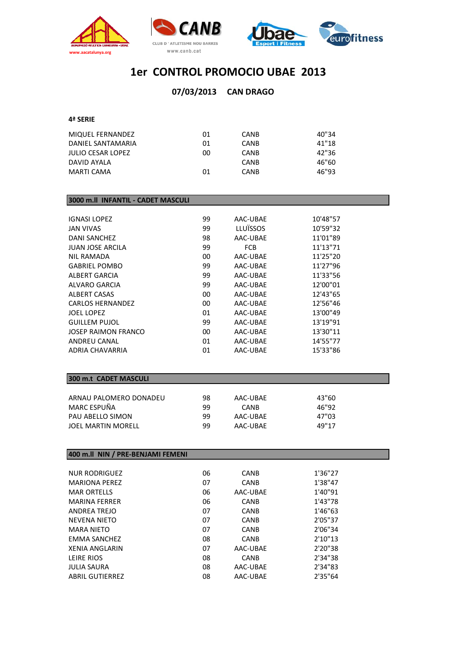





#### **CAN DRAGO 07/03/2013**

#### **4ª SERIE**

| MIQUEL FERNANDEZ  | 01 | <b>CANB</b> | 40"34 |
|-------------------|----|-------------|-------|
| DANIEL SANTAMARIA | 01 | <b>CANB</b> | 41"18 |
| JULIO CESAR LOPEZ | 00 | <b>CANB</b> | 42"36 |
| DAVID AYALA       |    | CANB        | 46"60 |
| MARTI CAMA        | 01 | CANB        | 46"93 |

#### **3000 m.ll INFANTIL ‐ CADET MASCULI**

| 99 | AAC-UBAE   | 10'48"57 |
|----|------------|----------|
| 99 | LLUÏSSOS   | 10'59"32 |
| 98 | AAC-UBAE   | 11'01"89 |
| 99 | <b>FCB</b> | 11'13"71 |
| 00 | AAC-UBAE   | 11'25"20 |
| 99 | AAC-UBAE   | 11'27"96 |
| 99 | AAC-UBAE   | 11'33"56 |
| 99 | AAC-UBAE   | 12'00"01 |
| 00 | AAC-UBAE   | 12'43"65 |
| 00 | AAC-UBAE   | 12'56"46 |
| 01 | AAC-UBAE   | 13'00"49 |
| 99 | AAC-UBAE   | 13'19"91 |
| 00 | AAC-UBAE   | 13'30"11 |
| 01 | AAC-UBAE   | 14'55"77 |
| 01 | AAC-UBAE   | 15'33"86 |
|    |            |          |

### **300 m.t CADET MASCULI**

| ARNAU PALOMERO DONADEU    | 98 | AAC-UBAE    | 43"60 |
|---------------------------|----|-------------|-------|
| MARC ESPUÑA               | qq | <b>CANB</b> | 46"92 |
| PAU ABELLO SIMON          | 99 | AAC-UBAE    | 47"03 |
| <b>JOEL MARTIN MORELL</b> | 99 | AAC-UBAE    | 49"17 |

#### **400 m.ll NIN / PRE‐BENJAMI FEMENI**

| 06 | <b>CANB</b> | 1'36"27 |
|----|-------------|---------|
| 07 | <b>CANB</b> | 1'38"47 |
| 06 | AAC-UBAE    | 1'40"91 |
| 06 | <b>CANB</b> | 1'43"78 |
| 07 | <b>CANB</b> | 1'46"63 |
| 07 | <b>CANB</b> | 2'05"37 |
| 07 | <b>CANB</b> | 2'06"34 |
| 08 | <b>CANB</b> | 2'10"13 |
| 07 | AAC-UBAE    | 2'20"38 |
| 08 | <b>CANB</b> | 2'34"38 |
| 08 | AAC-UBAE    | 2'34"83 |
| 08 | AAC-UBAE    | 2'35"64 |
|    |             |         |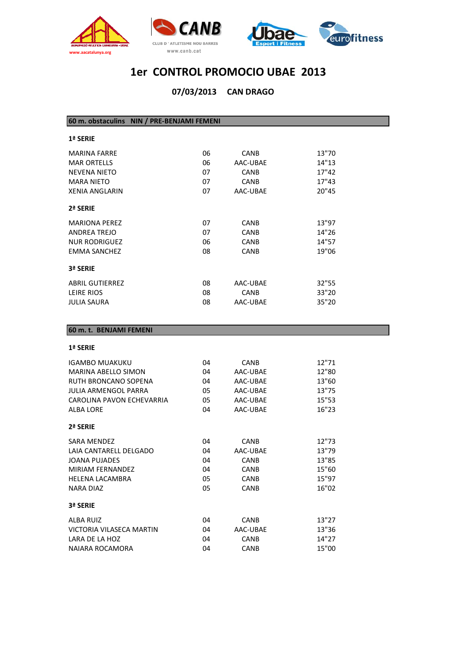





**CAN DRAGO 07/03/2013**

**60 m. obstaculins NIN / PRE‐BENJAMI FEMENI**

| <b>1ª SERIE</b>        |    |             |       |
|------------------------|----|-------------|-------|
| <b>MARINA FARRE</b>    | 06 | <b>CANB</b> | 13"70 |
| <b>MAR ORTELLS</b>     | 06 | AAC-UBAE    | 14"13 |
| <b>NEVENA NIETO</b>    | 07 | <b>CANB</b> | 17"42 |
| <b>MARA NIETO</b>      | 07 | <b>CANB</b> | 17"43 |
| <b>XENIA ANGLARIN</b>  | 07 | AAC-UBAE    | 20"45 |
| 2ª SERIE               |    |             |       |
| <b>MARIONA PEREZ</b>   | 07 | <b>CANB</b> | 13"97 |
| ANDREA TREJO           | 07 | <b>CANB</b> | 14"26 |
| <b>NUR RODRIGUEZ</b>   | 06 | <b>CANB</b> | 14"57 |
| EMMA SANCHEZ           | 08 | <b>CANB</b> | 19"06 |
| 3ª SERIE               |    |             |       |
| <b>ABRIL GUTIERREZ</b> | 08 | AAC-UBAE    | 32"55 |
| LEIRE RIOS             | 08 | <b>CANB</b> | 33"20 |
| JULIA SAURA            | 08 | AAC-UBAE    | 35"20 |

#### **60 m. t. BENJAMI FEMENI**

#### **1ª SERIE**

| IGAMBO MUAKUKU              | 04 | <b>CANB</b> | 12"71 |
|-----------------------------|----|-------------|-------|
| <b>MARINA ABELLO SIMON</b>  | 04 | AAC-UBAE    | 12"80 |
| RUTH BRONCANO SOPENA        | 04 | AAC-UBAE    | 13"60 |
| <b>JULIA ARMENGOL PARRA</b> | 05 | AAC-UBAE    | 13"75 |
| CAROLINA PAVON ECHEVARRIA   | 05 | AAC-UBAE    | 15"53 |
| <b>ALBA LORE</b>            | 04 | AAC-UBAE    | 16"23 |
| 2ª SERIE                    |    |             |       |
| <b>SARA MENDEZ</b>          | 04 | <b>CANB</b> | 12"73 |
| LAIA CANTARELL DELGADO      | 04 | AAC-UBAE    | 13"79 |
| JOANA PUJADES               | 04 | <b>CANB</b> | 13"85 |
| <b>MIRIAM FERNANDEZ</b>     | 04 | <b>CANB</b> | 15"60 |
| <b>HELENA LACAMBRA</b>      | 05 | <b>CANB</b> | 15"97 |
| <b>NARA DIAZ</b>            | 05 | <b>CANB</b> | 16"02 |
| 3ª SERIE                    |    |             |       |
| ALBA RUIZ                   | 04 | <b>CANB</b> | 13"27 |
| VICTORIA VILASECA MARTIN    | 04 | AAC-UBAE    | 13"36 |
| LARA DE LA HOZ              | 04 | <b>CANB</b> | 14"27 |
| NAIARA ROCAMORA             | 04 | <b>CANB</b> | 15"00 |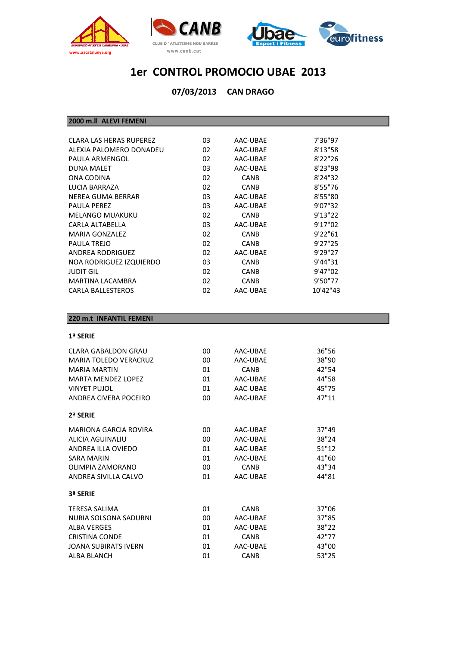





**CAN DRAGO 07/03/2013**

**2000 m.ll ALEVI FEMENI**

| CLARA LAS HERAS RUPEREZ  | 03 | AAC-UBAE    | 7'36"97  |
|--------------------------|----|-------------|----------|
| ALEXIA PALOMERO DONADEU  | 02 | AAC-UBAE    | 8'13"58  |
| PAULA ARMENGOL           | 02 | AAC-UBAE    | 8'22''26 |
| <b>DUNA MALET</b>        | 03 | AAC-UBAE    | 8'23"98  |
| ONA CODINA               | 02 | <b>CANB</b> | 8'24"32  |
| LUCIA BARRAZA            | 02 | <b>CANB</b> | 8'55"76  |
| NEREA GUMA BERRAR        | 03 | AAC-UBAE    | 8'55"80  |
| <b>PAULA PEREZ</b>       | 03 | AAC-UBAE    | 9'07"32  |
| <b>MELANGO MUAKUKU</b>   | 02 | <b>CANB</b> | 9'13''22 |
| CARLA ALTABELLA          | 03 | AAC-UBAE    | 9'17"02  |
| MARIA GONZALEZ           | 02 | <b>CANB</b> | 9'22"61  |
| PAULA TREJO              | 02 | <b>CANB</b> | 9'27"25  |
| <b>ANDREA RODRIGUEZ</b>  | 02 | AAC-UBAE    | 9'29"27  |
| NOA RODRIGUEZ IZQUIERDO  | 03 | <b>CANB</b> | 9'44"31  |
| <b>JUDIT GIL</b>         | 02 | <b>CANB</b> | 9'47"02  |
| <b>MARTINA LACAMBRA</b>  | 02 | <b>CANB</b> | 9'50"77  |
| <b>CARLA BALLESTEROS</b> | 02 | AAC-UBAE    | 10'42"43 |
|                          |    |             |          |

#### **220 m.t INFANTIL FEMENI**

#### **1ª SERIE**

| 00 | AAC-UBAE    | 36"56 |
|----|-------------|-------|
| 00 | AAC-UBAE    | 38"90 |
| 01 | <b>CANB</b> | 42"54 |
| 01 | AAC-UBAE    | 44"58 |
| 01 | AAC-UBAE    | 45"75 |
| 00 | AAC-UBAE    | 47"11 |
|    |             |       |
| 00 | AAC-UBAE    | 37"49 |
| 00 | AAC-UBAE    | 38"24 |
| 01 | AAC-UBAE    | 51"12 |
| 01 | AAC-UBAE    | 41"60 |
| 00 | <b>CANB</b> | 43"34 |
| 01 | AAC-UBAF    | 44"81 |
|    |             |       |
| 01 | <b>CANB</b> | 37"06 |
| 00 | AAC-UBAE    | 37"85 |
| 01 | AAC-UBAE    | 38"22 |
| 01 | <b>CANB</b> | 42"77 |
| 01 | AAC-UBAE    | 43"00 |
| 01 | <b>CANB</b> | 53"25 |
|    |             |       |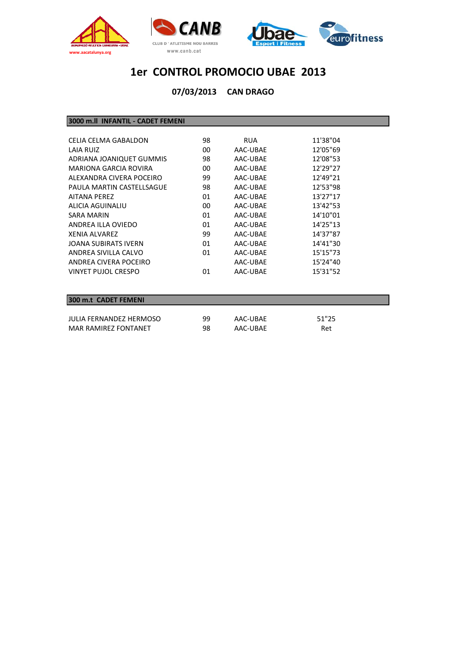



**CAN DRAGO 07/03/2013**

**3000 m.ll INFANTIL ‐ CADET FEMENI**

| CELIA CELMA GABALDON      | 98 | <b>RUA</b> | 11'38"04 |
|---------------------------|----|------------|----------|
| LAIA RUIZ                 | 00 | AAC-UBAE   | 12'05"69 |
| ADRIANA JOANIQUET GUMMIS  | 98 | AAC-UBAE   | 12'08"53 |
| MARIONA GARCIA ROVIRA     | 00 | AAC-UBAE   | 12'29"27 |
| ALEXANDRA CIVERA POCEIRO  | 99 | AAC-UBAE   | 12'49"21 |
| PAULA MARTIN CASTELLSAGUE | 98 | AAC-UBAE   | 12'53"98 |
| <b>AITANA PFRFZ</b>       | 01 | AAC-UBAE   | 13'27"17 |
| ALICIA AGUINALIU          | 00 | AAC-UBAE   | 13'42"53 |
| SARA MARIN                | 01 | AAC-UBAE   | 14'10"01 |
| ANDREA ILLA OVIEDO        | 01 | AAC-UBAE   | 14'25"13 |
| XFNIA ALVARFZ             | 99 | AAC-UBAE   | 14'37"87 |
| JOANA SUBIRATS IVERN      | 01 | AAC-UBAE   | 14'41"30 |
| ANDREA SIVILLA CALVO      | 01 | AAC-UBAE   | 15'15"73 |
| ANDREA CIVERA POCEIRO     |    | AAC-UBAE   | 15'24"40 |
| VINYET PUJOL CRESPO       | 01 | AAC-UBAE   | 15'31"52 |
|                           |    |            |          |

#### **300 m.t CADET FEMENI**

| JULIA FERNANDEZ HERMOSO | 99 | AAC-UBAE | 51"25 |
|-------------------------|----|----------|-------|
| MAR RAMIREZ FONTANET    | 98 | AAC-UBAE | Ret   |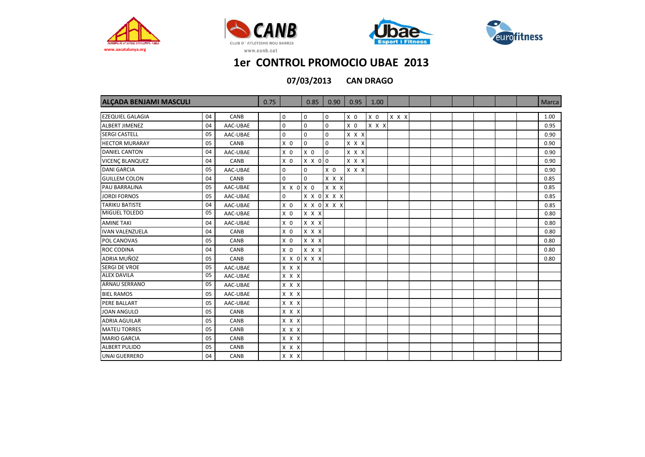







**CAN DRAGO 07/03/2013**

| ALCADA BENJAMI MASCULI  |    |          | 0.75 |                     | 0.85           | 0.90           | 0.95           | 1.00           |             |  |  |  | <b>Marca</b> |
|-------------------------|----|----------|------|---------------------|----------------|----------------|----------------|----------------|-------------|--|--|--|--------------|
|                         |    |          |      |                     |                |                |                |                |             |  |  |  |              |
| <b>EZEQUIEL GALAGIA</b> | 04 | CANB     |      | $\mathbf 0$         | 0              | $\mathbf 0$    | X <sub>0</sub> | X <sub>0</sub> | $X$ $X$ $X$ |  |  |  | 1.00         |
| <b>ALBERT JIMENEZ</b>   | 04 | AAC-UBAE |      | $\mathbf 0$         | $\mathbf 0$    | $\mathbf 0$    | X <sub>0</sub> | $X$ $X$ $X$    |             |  |  |  | 0.95         |
| <b>SERGI CASTELL</b>    | 05 | AAC-UBAE |      | $\mathbf 0$         | $\mathbf 0$    | $\mathbf 0$    | X X X          |                |             |  |  |  | 0.90         |
| <b>HECTOR MURARAY</b>   | 05 | CANB     |      | X <sub>0</sub>      | $\Omega$       | $\mathbf 0$    | X X X          |                |             |  |  |  | 0.90         |
| <b>DANIEL CANTON</b>    | 04 | AAC-UBAE |      | X <sub>0</sub>      | $X$ 0          | $\mathbf 0$    | X X X          |                |             |  |  |  | 0.90         |
| <b>VICENC BLANQUEZ</b>  | 04 | CANB     |      | X <sub>0</sub>      | $X \times 0$ 0 |                | X X X          |                |             |  |  |  | 0.90         |
| <b>DANI GARCIA</b>      | 05 | AAC-UBAE |      | $\boldsymbol{0}$    | $\mathbf 0$    | X <sub>0</sub> | X X X          |                |             |  |  |  | 0.90         |
| <b>GUILLEM COLON</b>    | 04 | CANB     |      | $\mathbf 0$         | $\mathbf 0$    | X X X          |                |                |             |  |  |  | 0.85         |
| <b>PAU BARRALINA</b>    | 05 | AAC-UBAE |      | $X$ $X$ $0$ $X$ $0$ |                | X X X          |                |                |             |  |  |  | 0.85         |
| <b>JORDI FORNOS</b>     | 05 | AAC-UBAE |      | $\mathbf 0$         |                | X X O X X X    |                |                |             |  |  |  | 0.85         |
| <b>TARIKU BATISTE</b>   | 04 | AAC-UBAE |      | X <sub>0</sub>      |                | X X O X X X    |                |                |             |  |  |  | 0.85         |
| MIGUEL TOLEDO           | 05 | AAC-UBAE |      | X <sub>0</sub>      | X X X          |                |                |                |             |  |  |  | 0.80         |
| <b>AMINE TAKI</b>       | 04 | AAC-UBAE |      | X <sub>0</sub>      | X X X          |                |                |                |             |  |  |  | 0.80         |
| <b>IVAN VALENZUELA</b>  | 04 | CANB     |      | $X$ 0               | X X X          |                |                |                |             |  |  |  | 0.80         |
| POL CANOVAS             | 05 | CANB     |      | $X$ 0               | X X X          |                |                |                |             |  |  |  | 0.80         |
| <b>ROC CODINA</b>       | 04 | CANB     |      | X <sub>0</sub>      | X X X          |                |                |                |             |  |  |  | 0.80         |
| ADRIA MUÑOZ             | 05 | CANB     |      | X X O X X X         |                |                |                |                |             |  |  |  | 0.80         |
| <b>SERGI DE VROE</b>    | 05 | AAC-UBAE |      | $X$ $X$ $X$         |                |                |                |                |             |  |  |  |              |
| <b>ALEX DAVILA</b>      | 05 | AAC-UBAE |      | $X$ $X$ $X$         |                |                |                |                |             |  |  |  |              |
| <b>ARNAU SERRANO</b>    | 05 | AAC-UBAE |      | X X X               |                |                |                |                |             |  |  |  |              |
| <b>BIEL RAMOS</b>       | 05 | AAC-UBAE |      | X X X               |                |                |                |                |             |  |  |  |              |
| PERE BALLART            | 05 | AAC-UBAE |      | X X X               |                |                |                |                |             |  |  |  |              |
| <b>JOAN ANGULO</b>      | 05 | CANB     |      | X X X               |                |                |                |                |             |  |  |  |              |
| <b>ADRIA AGUILAR</b>    | 05 | CANB     |      | X X X               |                |                |                |                |             |  |  |  |              |
| <b>MATEU TORRES</b>     | 05 | CANB     |      | X X X               |                |                |                |                |             |  |  |  |              |
| <b>MARIO GARCIA</b>     | 05 | CANB     |      | X X X               |                |                |                |                |             |  |  |  |              |
| <b>ALBERT PULIDO</b>    | 05 | CANB     |      | X X X               |                |                |                |                |             |  |  |  |              |
| <b>UNAI GUERRERO</b>    | 04 | CANB     |      | X X X               |                |                |                |                |             |  |  |  |              |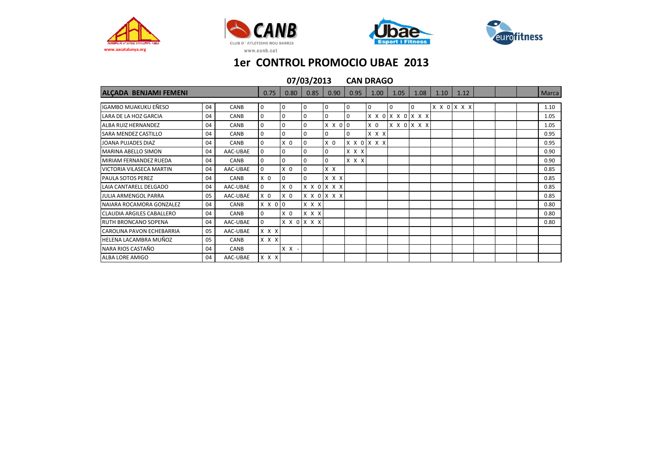







|                                  | 07/03/2013 |          |                | <b>CAN DRAGO</b> |             |                |             |                |                                     |                |      |             |  |       |
|----------------------------------|------------|----------|----------------|------------------|-------------|----------------|-------------|----------------|-------------------------------------|----------------|------|-------------|--|-------|
| ALCADA BENJAMI FEMENI            |            |          | 0.75           | 0.80             | 0.85        | 0.90           | 0.95        | 1.00           | 1.05                                | 1.08           | 1.10 | 1.12        |  | Marca |
| IGAMBO MUAKUKU EÑESO             | 04         | CANB     | 0              | 0                | 0           | <b>0</b>       | <b>O</b>    | $\overline{0}$ | 0                                   | $\overline{0}$ |      | X X O X X X |  | 1.10  |
| <b>LARA DE LA HOZ GARCIA</b>     | 04         | CANB     | $\mathbf 0$    | 0                | $\Omega$    | $\overline{0}$ | 0           |                | $X$ $X$ $0$ $X$ $X$ $0$ $X$ $X$ $X$ |                |      |             |  | 1.05  |
| <b>ALBA RUIZ HERNANDEZ</b>       | 04         | CANB     | 0              | $\Omega$         | 0           | X X 0 0        |             | X <sub>0</sub> | X X 0 X X X                         |                |      |             |  | 1.05  |
| SARA MENDEZ CASTILLO             | 04         | CANB     | 0              | $\mathbf 0$      | 0           | $\overline{0}$ | $\mathbf 0$ | X X X          |                                     |                |      |             |  | 0.95  |
| JOANA PUJADES DIAZ               | 04         | CANB     | $\mathbf 0$    | X <sub>0</sub>   | 0           | X <sub>0</sub> |             | X X O X X X    |                                     |                |      |             |  | 0.95  |
| <b>MARINA ABELLO SIMON</b>       | 04         | AAC-UBAE | 0              | 0                | $\Omega$    | 0              | X X X       |                |                                     |                |      |             |  | 0.90  |
| MIRIAM FERNANDEZ RUEDA           | 04         | CANB     | $\Omega$       | $\Omega$         | 0           | $\overline{0}$ | X X X       |                |                                     |                |      |             |  | 0.90  |
| <b>VICTORIA VILASECA MARTIN</b>  | 04         | AAC-UBAE | $\mathbf 0$    | X <sub>0</sub>   | 0           | $X$ $X$        |             |                |                                     |                |      |             |  | 0.85  |
| <b>PAULA SOTOS PEREZ</b>         | 04         | CANB     | X <sub>0</sub> | 0                | 0           | X X X          |             |                |                                     |                |      |             |  | 0.85  |
| LAIA CANTARELL DELGADO           | 04         | AAC-UBAE | 0              | X <sub>0</sub>   | X X O X X X |                |             |                |                                     |                |      |             |  | 0.85  |
| JULIA ARMENGOL PARRA             | 05         | AAC-UBAE | X <sub>0</sub> | X <sub>0</sub>   |             | X X O X X X    |             |                |                                     |                |      |             |  | 0.85  |
| NAIARA ROCAMORA GONZALEZ         | 04         | CANB     | X X 0 0        |                  | X X X       |                |             |                |                                     |                |      |             |  | 0.80  |
| <b>CLAUDIA ARGILES CABALLERO</b> | 04         | CANB     | $\mathbf{0}$   | X <sub>0</sub>   | X X X       |                |             |                |                                     |                |      |             |  | 0.80  |
| <b>RUTH BRONCANO SOPENA</b>      | 04         | AAC-UBAE | 0              |                  | X X O X X X |                |             |                |                                     |                |      |             |  | 0.80  |
| <b>CAROLINA PAVON ECHEBARRIA</b> | 05         | AAC-UBAE | $X$ $X$ $X$    |                  |             |                |             |                |                                     |                |      |             |  |       |
| HELENA LACAMBRA MUÑOZ            | 05         | CANB     | $X$ $X$ $X$    |                  |             |                |             |                |                                     |                |      |             |  |       |
| NARA RIOS CASTAÑO                | 04         | CANB     |                | $X X -$          |             |                |             |                |                                     |                |      |             |  |       |
| ALBA LORE AMIGO                  | 04         | AAC-UBAE | $X$ $X$ $X$    |                  |             |                |             |                |                                     |                |      |             |  |       |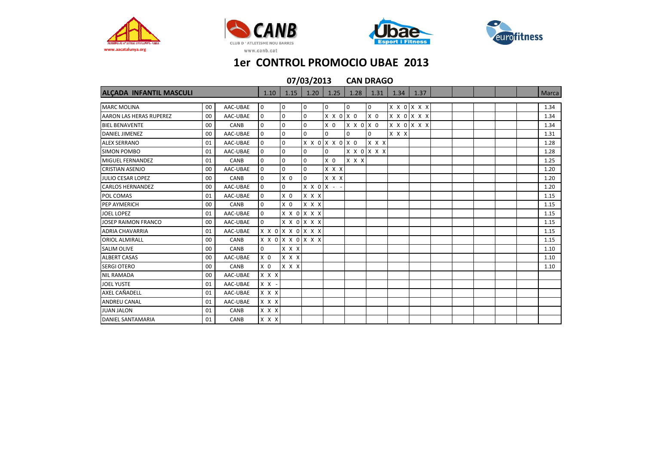







| 07/03/2013<br><b>CAN DRAGO</b> |    |          |                  |                |                   |                     |                     |                |       |             |  |  |              |
|--------------------------------|----|----------|------------------|----------------|-------------------|---------------------|---------------------|----------------|-------|-------------|--|--|--------------|
| ALÇADA INFANTIL MASCULI        |    |          | 1.10             | 1.15           | 1.20              | 1.25                | 1.28                | 1.31           | 1.34  | 1.37        |  |  | <b>Marca</b> |
| <b>MARC MOLINA</b>             | 00 | AAC-UBAE | 0                | 0              | 0                 | 0                   | 0                   | $\mathbf 0$    |       | X X O X X X |  |  | 1.34         |
| <b>AARON LAS HERAS RUPEREZ</b> | 00 | AAC-UBAE | $\boldsymbol{0}$ | $\mathbf 0$    | $\mathbf 0$       | X X O X O           |                     | X <sub>0</sub> |       | X X O X X X |  |  | 1.34         |
| <b>BIEL BENAVENTE</b>          | 00 | CANB     | $\mathbf 0$      | $\mathbf 0$    | $\Omega$          | X <sub>0</sub>      | $X$ $X$ $0$ $X$ $0$ |                |       | X X O X X X |  |  | 1.34         |
| <b>DANIEL JIMENEZ</b>          | 00 | AAC-UBAE | $\boldsymbol{0}$ | $\mathbf 0$    | $\mathbf 0$       | $\Omega$            | $\Omega$            | $\Omega$       | X X X |             |  |  | 1.31         |
| <b>ALEX SERRANO</b>            | 01 | AAC-UBAE | 0                | $\mathbf 0$    |                   | X X 0 X X 0 X 0     |                     | X X X          |       |             |  |  | 1.28         |
| <b>SIMON POMBO</b>             | 01 | AAC-UBAE | $\mathbf 0$      | $\mathbf 0$    | $\mathbf 0$       | $\mathbf 0$         |                     | <b>XXOXXX</b>  |       |             |  |  | 1.28         |
| MIGUEL FERNANDEZ               | 01 | CANB     | $\mathbf 0$      | $\mathbf 0$    | $\mathbf 0$       | X <sub>0</sub>      | x x x               |                |       |             |  |  | 1.25         |
| <b>CRISTIAN ASENJO</b>         | 00 | AAC-UBAE | 0                | $\mathbf 0$    | $\mathbf 0$       | X X X               |                     |                |       |             |  |  | 1.20         |
| <b>JULIO CESAR LOPEZ</b>       | 00 | CANB     | $\mathbf 0$      | X <sub>0</sub> | $\mathbf 0$       | $X$ $X$ $X$         |                     |                |       |             |  |  | 1.20         |
| <b>CARLOS HERNANDEZ</b>        | 00 | AAC-UBAE | $\mathbf 0$      | $\mathbf 0$    |                   | $X$ $X$ $0$ $X$ - - |                     |                |       |             |  |  | 1.20         |
| POL COMAS                      | 01 | AAC-UBAE | 0                | X <sub>0</sub> | $X$ $X$ $X$       |                     |                     |                |       |             |  |  | 1.15         |
| PEP AYMERICH                   | 00 | CANB     | $\mathbf 0$      | X <sub>0</sub> | $X$ $X$ $X$       |                     |                     |                |       |             |  |  | 1.15         |
| <b>JOEL LOPEZ</b>              | 01 | AAC-UBAE | $\mathbf 0$      |                | X X 0 X X X       |                     |                     |                |       |             |  |  | 1.15         |
| JOSEP RAIMON FRANCO            | 00 | AAC-UBAE | $\mathbf 0$      |                | X X O X X X       |                     |                     |                |       |             |  |  | 1.15         |
| <b>ADRIA CHAVARRIA</b>         | 01 | AAC-UBAE |                  |                | X X 0 X X 0 X X X |                     |                     |                |       |             |  |  | 1.15         |
| <b>ORIOL ALMIRALL</b>          | 00 | CANB     |                  |                | x x 0 x x 0 x x x |                     |                     |                |       |             |  |  | 1.15         |
| <b>SALIM OLIVE</b>             | 00 | CANB     | $\mathbf 0$      | $X$ $X$ $X$    |                   |                     |                     |                |       |             |  |  | 1.10         |
| <b>ALBERT CASAS</b>            | 00 | AAC-UBAE | $X$ 0            | X X X          |                   |                     |                     |                |       |             |  |  | 1.10         |
| <b>SERGI OTERO</b>             | 00 | CANB     | X <sub>0</sub>   | X X X          |                   |                     |                     |                |       |             |  |  | 1.10         |
| <b>NIL RAMADA</b>              | 00 | AAC-UBAE | X X X            |                |                   |                     |                     |                |       |             |  |  |              |
| <b>JOEL YUSTE</b>              | 01 | AAC-UBAE | $X$ $X$ -        |                |                   |                     |                     |                |       |             |  |  |              |
| <b>AXEL CAÑADELL</b>           | 01 | AAC-UBAE | $X$ $X$ $X$      |                |                   |                     |                     |                |       |             |  |  |              |
| <b>ANDREU CANAL</b>            | 01 | AAC-UBAE | x x x            |                |                   |                     |                     |                |       |             |  |  |              |
| <b>JUAN JALON</b>              | 01 | CANB     | X X X            |                |                   |                     |                     |                |       |             |  |  |              |
| <b>DANIEL SANTAMARIA</b>       | 01 | CANB     | X X X            |                |                   |                     |                     |                |       |             |  |  |              |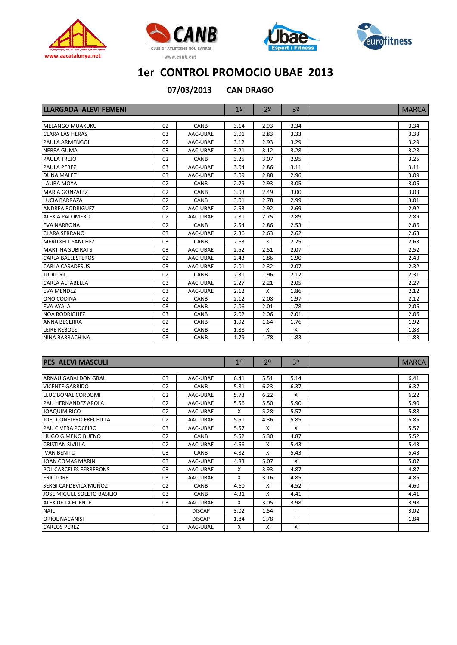







**CAN DRAGO 07/03/2013**

| <b>LLARGADA ALEVI FEMENI</b> |    |             | 1 <sup>°</sup> | 2 <sup>o</sup> | 3 <sup>o</sup> | <b>MARCA</b> |
|------------------------------|----|-------------|----------------|----------------|----------------|--------------|
|                              |    |             |                |                |                |              |
| MELANGO MUAKUKU              | 02 | CANB        | 3.14           | 2.93           | 3.34           | 3.34         |
| <b>CLARA LAS HERAS</b>       | 03 | AAC-UBAE    | 3.01           | 2.83           | 3.33           | 3.33         |
| <b>PAULA ARMENGOL</b>        | 02 | AAC-UBAE    | 3.12           | 2.93           | 3.29           | 3.29         |
| <b>NEREA GUMA</b>            | 03 | AAC-UBAE    | 3.21           | 3.12           | 3.28           | 3.28         |
| PAULA TREJO                  | 02 | CANB        | 3.25           | 3.07           | 2.95           | 3.25         |
| <b>PAULA PEREZ</b>           | 03 | AAC-UBAE    | 3.04           | 2.86           | 3.11           | 3.11         |
| <b>DUNA MALET</b>            | 03 | AAC-UBAE    | 3.09           | 2.88           | 2.96           | 3.09         |
| <b>LAURA MOYA</b>            | 02 | <b>CANB</b> | 2.79           | 2.93           | 3.05           | 3.05         |
| <b>MARIA GONZALEZ</b>        | 02 | <b>CANB</b> | 3.03           | 2.49           | 3.00           | 3.03         |
| <b>LUCIA BARRAZA</b>         | 02 | CANB        | 3.01           | 2.78           | 2.99           | 3.01         |
| <b>ANDREA RODRIGUEZ</b>      | 02 | AAC-UBAE    | 2.63           | 2.92           | 2.69           | 2.92         |
| <b>ALEXIA PALOMERO</b>       | 02 | AAC-UBAE    | 2.81           | 2.75           | 2.89           | 2.89         |
| <b>EVA NARBONA</b>           | 02 | CANB        | 2.54           | 2.86           | 2.53           | 2.86         |
| <b>CLARA SERRANO</b>         | 03 | AAC-UBAE    | 2.36           | 2.63           | 2.62           | 2.63         |
| <b>MERITXELL SANCHEZ</b>     | 03 | CANB        | 2.63           | Χ              | 2.25           | 2.63         |
| <b>MARTINA SUBIRATS</b>      | 03 | AAC-UBAE    | 2.52           | 2.51           | 2.07           | 2.52         |
| <b>CARLA BALLESTEROS</b>     | 02 | AAC-UBAE    | 2.43           | 1.86           | 1.90           | 2.43         |
| <b>CARLA CASADESUS</b>       | 03 | AAC-UBAE    | 2.01           | 2.32           | 2.07           | 2.32         |
| <b>JUDIT GIL</b>             | 02 | CANB        | 2.31           | 1.96           | 2.12           | 2.31         |
| <b>CARLA ALTABELLA</b>       | 03 | AAC-UBAE    | 2.27           | 2.21           | 2.05           | 2.27         |
| <b>EVA MENDEZ</b>            | 03 | AAC-UBAE    | 2.12           | $\mathsf{x}$   | 1.86           | 2.12         |
| ONO CODINA                   | 02 | CANB        | 2.12           | 2.08           | 1.97           | 2.12         |
| <b>EVA AYALA</b>             | 03 | CANB        | 2.06           | 2.01           | 1.78           | 2.06         |
| <b>NOA RODRIGUEZ</b>         | 03 | <b>CANB</b> | 2.02           | 2.06           | 2.01           | 2.06         |
| <b>ANNA BECERRA</b>          | 02 | CANB        | 1.92           | 1.64           | 1.76           | 1.92         |
| LEIRE REBOLE                 | 03 | <b>CANB</b> | 1.88           | X              | X              | 1.88         |
| NINA BARRACHINA              | 03 | CANB        | 1.79           | 1.78           | 1.83           | 1.83         |

| <b>PES ALEVI MASCULI</b>      |    |               | 1 <sup>°</sup> | 2 <sup>o</sup> | 3 <sup>0</sup>           | <b>MARCA</b> |
|-------------------------------|----|---------------|----------------|----------------|--------------------------|--------------|
|                               |    |               |                |                |                          |              |
| ARNAU GABALDON GRAU           | 03 | AAC-UBAE      | 6.41           | 5.51           | 5.14                     | 6.41         |
| <b>VICENTE GARRIDO</b>        | 02 | CANB          | 5.81           | 6.23           | 6.37                     | 6.37         |
| LLUC BONAL CORDOMI            | 02 | AAC-UBAE      | 5.73           | 6.22           | X                        | 6.22         |
| PAU HERNANDEZ AROLA           | 02 | AAC-UBAE      | 5.56           | 5.50           | 5.90                     | 5.90         |
| <b>JOAQUIM RICO</b>           | 02 | AAC-UBAE      | X              | 5.28           | 5.57                     | 5.88         |
| JOEL CONEJERO FRECHILLA       | 02 | AAC-UBAE      | 5.51           | 4.36           | 5.85                     | 5.85         |
| <b>PAU CIVERA POCEIRO</b>     | 03 | AAC-UBAE      | 5.57           | X              | X                        | 5.57         |
| <b>HUGO GIMENO BUENO</b>      | 02 | CANB          | 5.52           | 5.30           | 4.87                     | 5.52         |
| <b>CRISTIAN SIVILLA</b>       | 02 | AAC-UBAE      | 4.66           | X              | 5.43                     | 5.43         |
| <b>IVAN BENITO</b>            | 03 | CANB          | 4.82           | X              | 5.43                     | 5.43         |
| <b>JOAN COMAS MARIN</b>       | 03 | AAC-UBAE      | 4.83           | 5.07           | X                        | 5.07         |
| <b>POL CARCELES FERRERONS</b> | 03 | AAC-UBAE      | X              | 3.93           | 4.87                     | 4.87         |
| <b>ERIC LORE</b>              | 03 | AAC-UBAE      | X              | 3.16           | 4.85                     | 4.85         |
| SERGI CAPDEVILA MUÑOZ         | 02 | CANB          | 4.60           | X              | 4.52                     | 4.60         |
| JOSE MIGUEL SOLETO BASILIO    | 03 | CANB          | 4.31           | X              | 4.41                     | 4.41         |
| ALEX DE LA FUENTE             | 03 | AAC-UBAE      | X              | 3.05           | 3.98                     | 3.98         |
| <b>NAIL</b>                   |    | <b>DISCAP</b> | 3.02           | 1.54           | $\overline{\phantom{a}}$ | 3.02         |
| ORIOL NACANISI                |    | <b>DISCAP</b> | 1.84           | 1.78           | $\sim$                   | 1.84         |
| <b>CARLOS PEREZ</b>           | 03 | AAC-UBAE      | X              | X              | x                        |              |